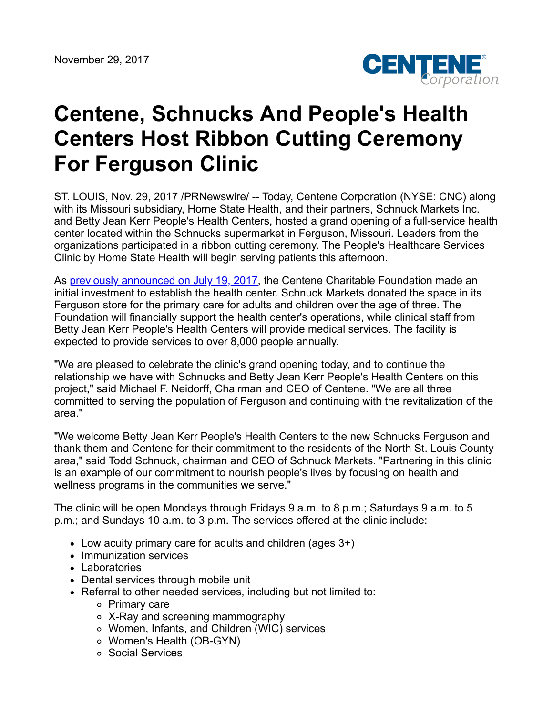

## **Centene, Schnucks And People's Health Centers Host Ribbon Cutting Ceremony For Ferguson Clinic**

ST. LOUIS, Nov. 29, 2017 /PRNewswire/ -- Today, Centene Corporation (NYSE: CNC) along with its Missouri subsidiary, Home State Health, and their partners, Schnuck Markets Inc. and Betty Jean Kerr People's Health Centers, hosted a grand opening of a full-service health center located within the Schnucks supermarket in Ferguson, Missouri. Leaders from the organizations participated in a ribbon cutting ceremony. The People's Healthcare Services Clinic by Home State Health will begin serving patients this afternoon.

As [previously announced on July 19, 2017,](https://centene.gcs-web.com/news-releases/news-release-details/centene-partners-schnucks-and-peoples-health-centers-open) the Centene Charitable Foundation made an initial investment to establish the health center. Schnuck Markets donated the space in its Ferguson store for the primary care for adults and children over the age of three. The Foundation will financially support the health center's operations, while clinical staff from Betty Jean Kerr People's Health Centers will provide medical services. The facility is expected to provide services to over 8,000 people annually.

"We are pleased to celebrate the clinic's grand opening today, and to continue the relationship we have with Schnucks and Betty Jean Kerr People's Health Centers on this project," said Michael F. Neidorff, Chairman and CEO of Centene. "We are all three committed to serving the population of Ferguson and continuing with the revitalization of the area."

"We welcome Betty Jean Kerr People's Health Centers to the new Schnucks Ferguson and thank them and Centene for their commitment to the residents of the North St. Louis County area," said Todd Schnuck, chairman and CEO of Schnuck Markets. "Partnering in this clinic is an example of our commitment to nourish people's lives by focusing on health and wellness programs in the communities we serve."

The clinic will be open Mondays through Fridays 9 a.m. to 8 p.m.; Saturdays 9 a.m. to 5 p.m.; and Sundays 10 a.m. to 3 p.m. The services offered at the clinic include:

- Low acuity primary care for adults and children (ages 3+)
- Immunization services
- Laboratories
- Dental services through mobile unit
- Referral to other needed services, including but not limited to:
	- Primary care
	- X-Ray and screening mammography
	- Women, Infants, and Children (WIC) services
	- Women's Health (OB-GYN)
	- Social Services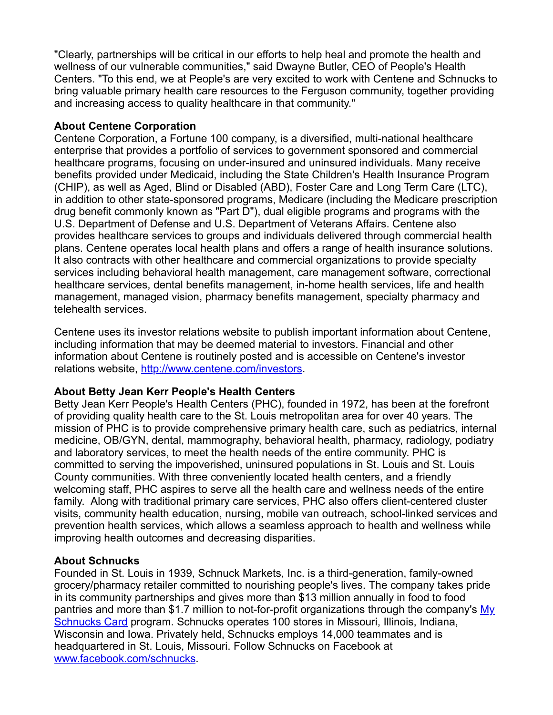"Clearly, partnerships will be critical in our efforts to help heal and promote the health and wellness of our vulnerable communities," said Dwayne Butler, CEO of People's Health Centers. "To this end, we at People's are very excited to work with Centene and Schnucks to bring valuable primary health care resources to the Ferguson community, together providing and increasing access to quality healthcare in that community."

## **About Centene Corporation**

Centene Corporation, a Fortune 100 company, is a diversified, multi-national healthcare enterprise that provides a portfolio of services to government sponsored and commercial healthcare programs, focusing on under-insured and uninsured individuals. Many receive benefits provided under Medicaid, including the State Children's Health Insurance Program (CHIP), as well as Aged, Blind or Disabled (ABD), Foster Care and Long Term Care (LTC), in addition to other state-sponsored programs, Medicare (including the Medicare prescription drug benefit commonly known as "Part D"), dual eligible programs and programs with the U.S. Department of Defense and U.S. Department of Veterans Affairs. Centene also provides healthcare services to groups and individuals delivered through commercial health plans. Centene operates local health plans and offers a range of health insurance solutions. It also contracts with other healthcare and commercial organizations to provide specialty services including behavioral health management, care management software, correctional healthcare services, dental benefits management, in-home health services, life and health management, managed vision, pharmacy benefits management, specialty pharmacy and telehealth services.

Centene uses its investor relations website to publish important information about Centene, including information that may be deemed material to investors. Financial and other information about Centene is routinely posted and is accessible on Centene's investor relations website, <http://www.centene.com/investors>.

## **About Betty Jean Kerr People's Health Centers**

Betty Jean Kerr People's Health Centers (PHC), founded in 1972, has been at the forefront of providing quality health care to the St. Louis metropolitan area for over 40 years. The mission of PHC is to provide comprehensive primary health care, such as pediatrics, internal medicine, OB/GYN, dental, mammography, behavioral health, pharmacy, radiology, podiatry and laboratory services, to meet the health needs of the entire community. PHC is committed to serving the impoverished, uninsured populations in St. Louis and St. Louis County communities. With three conveniently located health centers, and a friendly welcoming staff, PHC aspires to serve all the health care and wellness needs of the entire family. Along with traditional primary care services, PHC also offers client-centered cluster visits, community health education, nursing, mobile van outreach, school-linked services and prevention health services, which allows a seamless approach to health and wellness while improving health outcomes and decreasing disparities.

## **About Schnucks**

Founded in St. Louis in 1939, Schnuck Markets, Inc. is a third-generation, family-owned grocery/pharmacy retailer committed to nourishing people's lives. The company takes pride in its community partnerships and gives more than \$13 million annually in food to food [pantries and more than \\$1.7 million to not-for-profit organizations through the company's My](http://www.escrip.com/merchants/identity/schnucks/index.jsp) Schnucks Card program. Schnucks operates 100 stores in Missouri, Illinois, Indiana, Wisconsin and Iowa. Privately held, Schnucks employs 14,000 teammates and is headquartered in St. Louis, Missouri. Follow Schnucks on Facebook at [www.facebook.com/schnucks.](http://www.facebook.com/schnucks)